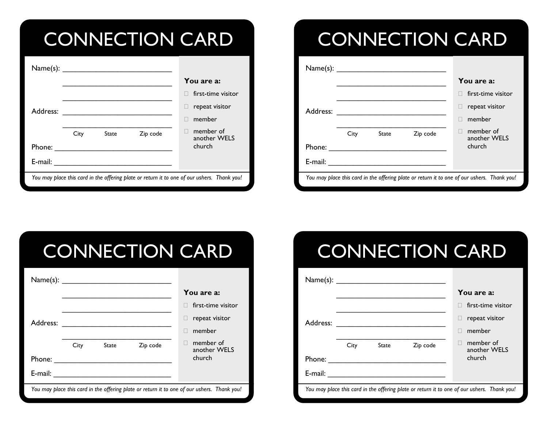### CONNECTION CARD

|                                                                                             |      |              |          | You are a:                |
|---------------------------------------------------------------------------------------------|------|--------------|----------|---------------------------|
|                                                                                             |      |              |          | first-time visitor        |
| Address:                                                                                    |      |              |          | repeat visitor            |
|                                                                                             |      |              |          | member                    |
|                                                                                             | City | <b>State</b> | Zip code | member of<br>another WELS |
| Phone:                                                                                      |      |              |          | church                    |
| E-mail:                                                                                     |      |              |          |                           |
| You may place this card in the offering plate or return it to one of our ushers. Thank you! |      |              |          |                           |

## CONNECTION CARD

| Name(s):                                                                                    |      |              |          |                           |
|---------------------------------------------------------------------------------------------|------|--------------|----------|---------------------------|
|                                                                                             |      |              |          | You are a:                |
| Address:                                                                                    |      |              |          | first-time visitor        |
|                                                                                             |      |              |          | repeat visitor            |
|                                                                                             |      |              |          | member                    |
|                                                                                             | City | <b>State</b> | Zip code | member of<br>another WELS |
| Phone:                                                                                      |      |              |          | church                    |
| E-mail:                                                                                     |      |              |          |                           |
| You may place this card in the offering plate or return it to one of our ushers. Thank you! |      |              |          |                           |

# CONNECTION CARD

| Name(s):                                                                                    |      | <u> 1989 - Jan Stein Stein Stein Stein Stein Stein Stein Stein Stein Stein Stein Stein Stein Stein Stein Stein S</u> |          |                           |  |
|---------------------------------------------------------------------------------------------|------|----------------------------------------------------------------------------------------------------------------------|----------|---------------------------|--|
|                                                                                             |      |                                                                                                                      |          | You are a:                |  |
| Address:                                                                                    |      |                                                                                                                      |          | first-time visitor        |  |
|                                                                                             |      |                                                                                                                      |          | repeat visitor            |  |
|                                                                                             |      |                                                                                                                      |          | member                    |  |
|                                                                                             | City | <b>State</b>                                                                                                         | Zip code | member of<br>another WELS |  |
| Phone:                                                                                      |      |                                                                                                                      |          | church                    |  |
| $E$ -mail:                                                                                  |      |                                                                                                                      |          |                           |  |
| You may place this card in the offering plate or return it to one of our ushers. Thank you! |      |                                                                                                                      |          |                           |  |

# CONNECTION CARD

| Name(s):                                                                                    |      |       |          |                           |
|---------------------------------------------------------------------------------------------|------|-------|----------|---------------------------|
|                                                                                             |      |       |          | You are a:                |
|                                                                                             |      |       |          | first-time visitor        |
| Address:                                                                                    |      |       |          | repeat visitor            |
|                                                                                             |      |       |          | member                    |
|                                                                                             | City | State | Zip code | member of<br>another WELS |
| Phone:                                                                                      |      |       |          | church                    |
| E-mail:                                                                                     |      |       |          |                           |
| You may place this card in the offering plate or return it to one of our ushers. Thank you! |      |       |          |                           |